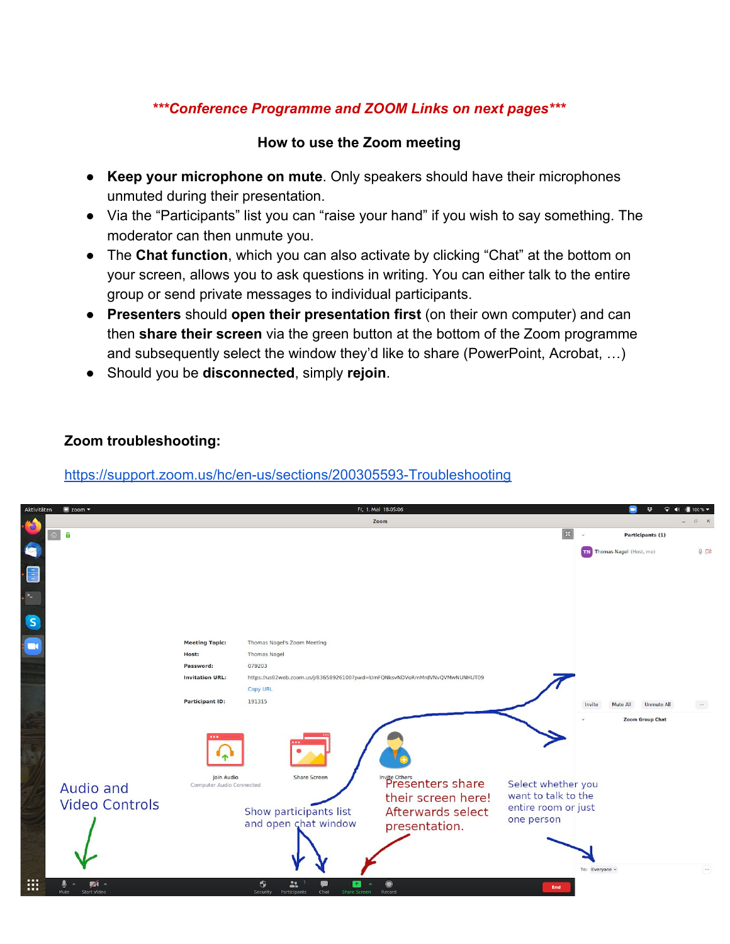# *\*\*\*Conference Programme and ZOOM Links on next pages\*\*\**

#### **How to use the Zoom meeting**

- **Keep your microphone on mute**. Only speakers should have their microphones unmuted during their presentation.
- Via the "Participants" list you can "raise your hand" if you wish to say something. The moderator can then unmute you.
- The **Chat function**, which you can also activate by clicking "Chat" at the bottom on your screen, allows you to ask questions in writing. You can either talk to the entire group or send private messages to individual participants.
- **Presenters** should **open their presentation first** (on their own computer) and can then **share their screen** via the green button at the bottom of the Zoom programme and subsequently select the window they'd like to share (PowerPoint, Acrobat, …)
- Should you be **disconnected**, simply **rejoin**.

#### **Zoom troubleshooting:**

## <https://support.zoom.us/hc/en-us/sections/200305593-Troubleshooting>

| Aktivitäten             | $\blacksquare$ zoom $\blacktriangledown$ |                                        |                                                                                                           | Fr, 1. Mai 18:05:06                                                                           |                                                                                | ×                                       | $\nabla$ (100% $\nabla$ |
|-------------------------|------------------------------------------|----------------------------------------|-----------------------------------------------------------------------------------------------------------|-----------------------------------------------------------------------------------------------|--------------------------------------------------------------------------------|-----------------------------------------|-------------------------|
|                         |                                          |                                        |                                                                                                           | Zoom                                                                                          |                                                                                |                                         | $\mathbb{F}$ X          |
|                         | $\odot$ $f$                              |                                        |                                                                                                           |                                                                                               |                                                                                | Participants (1)                        |                         |
|                         |                                          |                                        |                                                                                                           |                                                                                               |                                                                                | <b>TN</b> Thomas Nagel (Host, me)       | $Q \nabla$              |
| E                       |                                          |                                        |                                                                                                           |                                                                                               |                                                                                |                                         |                         |
| $\geq$                  |                                          |                                        |                                                                                                           |                                                                                               |                                                                                |                                         |                         |
| $\overline{\mathbf{s}}$ |                                          |                                        |                                                                                                           |                                                                                               |                                                                                |                                         |                         |
| $\blacksquare$          |                                          | <b>Meeting Topic:</b>                  | Thomas Nagel's Zoom Meeting                                                                               |                                                                                               |                                                                                |                                         |                         |
|                         |                                          | Host:                                  | <b>Thomas Nagel</b>                                                                                       |                                                                                               |                                                                                |                                         |                         |
|                         |                                          | Password:                              | 079203                                                                                                    |                                                                                               |                                                                                |                                         |                         |
|                         |                                          | <b>Invitation URL:</b>                 | https://us02web.zoom.us/j/83658926100?pwd=UmFQNksvNDVoRmMrdVNvQVMwNUNHUT09                                |                                                                                               |                                                                                |                                         |                         |
|                         |                                          |                                        | Copy URL                                                                                                  |                                                                                               |                                                                                |                                         |                         |
|                         |                                          | <b>Participant ID:</b>                 | 191315                                                                                                    |                                                                                               |                                                                                | <b>Unmute All</b><br>Invite<br>Mute All | $\cdots$                |
|                         | Audio and<br><b>Video Controls</b>       | Join Audio<br>Computer Audio Connected | Share Screen<br>Show participants list<br>and open chat window                                            | Invite Others<br>Presenters share<br>their screen here!<br>Afterwards select<br>presentation. | Select whether you<br>want to talk to the<br>entire room or just<br>one person | <b>Zoom Group Chat</b>                  |                         |
| :::                     | $\sqrt{1}$<br><b>Start Video</b><br>Mute |                                        | $\bullet$<br>22<br>Œ<br>$\pmb{\tau}$<br>$\sim$<br>Security<br>Participants<br>Chat<br><b>Share Screen</b> | $\bullet$<br>Record                                                                           | End                                                                            | To: Everyone v                          | $\cdots$                |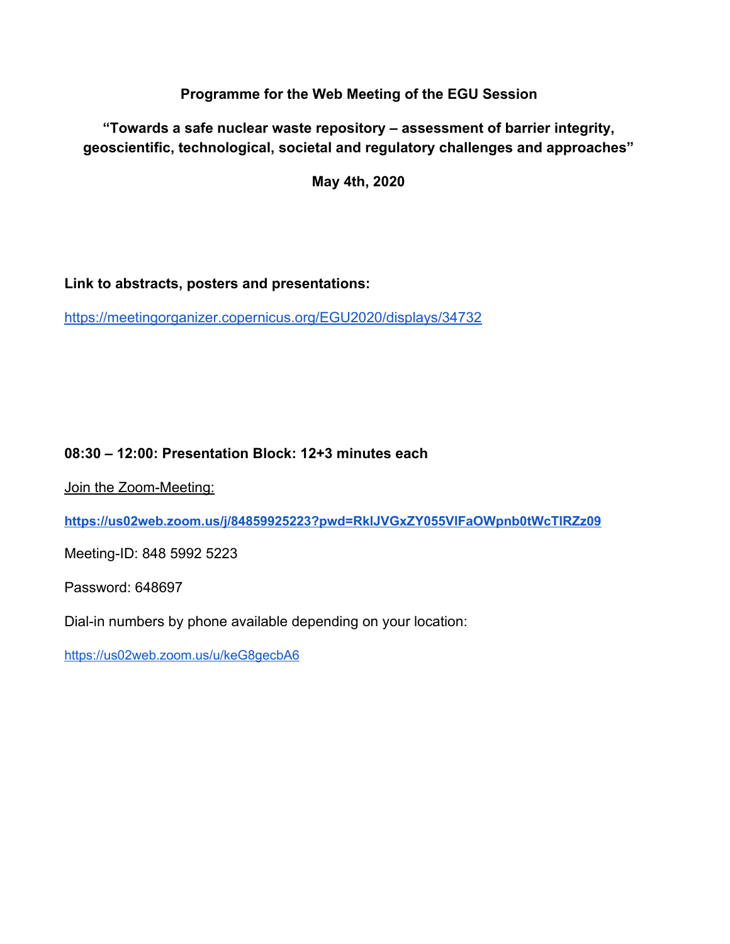**Programme for the Web Meeting of the EGU Session**

**"Towards a safe nuclear waste repository – assessment of barrier integrity, geoscientific, technological, societal and regulatory challenges and approaches"**

**May 4th, 2020**

## **Link to abstracts, posters and presentations:**

<https://meetingorganizer.copernicus.org/EGU2020/displays/34732>

## **08:30 – 12:00: Presentation Block: 12+3 minutes each**

Join the Zoom-Meeting:

**<https://us02web.zoom.us/j/84859925223?pwd=RklJVGxZY055VlFaOWpnb0tWcTlRZz09>**

Meeting-ID: 848 5992 5223

Password: 648697

Dial-in numbers by phone available depending on your location:

<https://us02web.zoom.us/u/keG8gecbA6>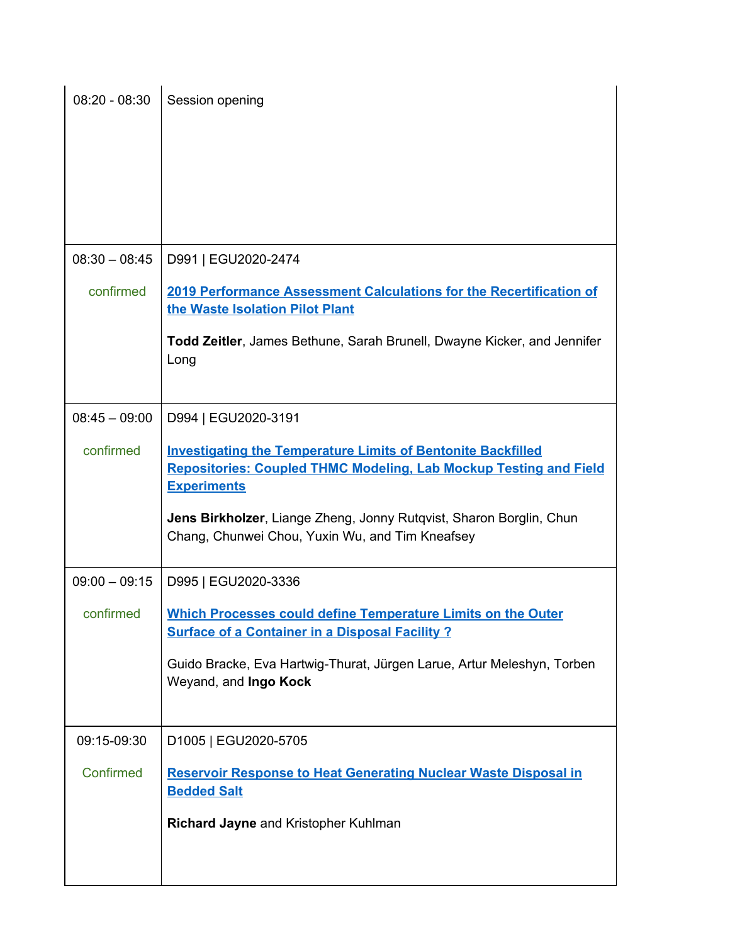| $08:20 - 08:30$ | Session opening                                                                                                                                                                                                                                                                                 |
|-----------------|-------------------------------------------------------------------------------------------------------------------------------------------------------------------------------------------------------------------------------------------------------------------------------------------------|
| $08:30 - 08:45$ | D991   EGU2020-2474                                                                                                                                                                                                                                                                             |
| confirmed       | 2019 Performance Assessment Calculations for the Recertification of<br>the Waste Isolation Pilot Plant                                                                                                                                                                                          |
|                 | Todd Zeitler, James Bethune, Sarah Brunell, Dwayne Kicker, and Jennifer<br>Long                                                                                                                                                                                                                 |
| $08:45 - 09:00$ | D994   EGU2020-3191                                                                                                                                                                                                                                                                             |
| confirmed       | <b>Investigating the Temperature Limits of Bentonite Backfilled</b><br><b>Repositories: Coupled THMC Modeling, Lab Mockup Testing and Field</b><br><b>Experiments</b><br>Jens Birkholzer, Liange Zheng, Jonny Rutqvist, Sharon Borglin, Chun<br>Chang, Chunwei Chou, Yuxin Wu, and Tim Kneafsey |
| $09:00 - 09:15$ | D995   EGU2020-3336                                                                                                                                                                                                                                                                             |
| confirmed       | <b>Which Processes could define Temperature Limits on the Outer</b><br><b>Surface of a Container in a Disposal Facility ?</b>                                                                                                                                                                   |
|                 | Guido Bracke, Eva Hartwig-Thurat, Jürgen Larue, Artur Meleshyn, Torben<br>Weyand, and Ingo Kock                                                                                                                                                                                                 |
| 09:15-09:30     | D1005   EGU2020-5705                                                                                                                                                                                                                                                                            |
| Confirmed       | <b>Reservoir Response to Heat Generating Nuclear Waste Disposal in</b><br><b>Bedded Salt</b>                                                                                                                                                                                                    |
|                 | Richard Jayne and Kristopher Kuhlman                                                                                                                                                                                                                                                            |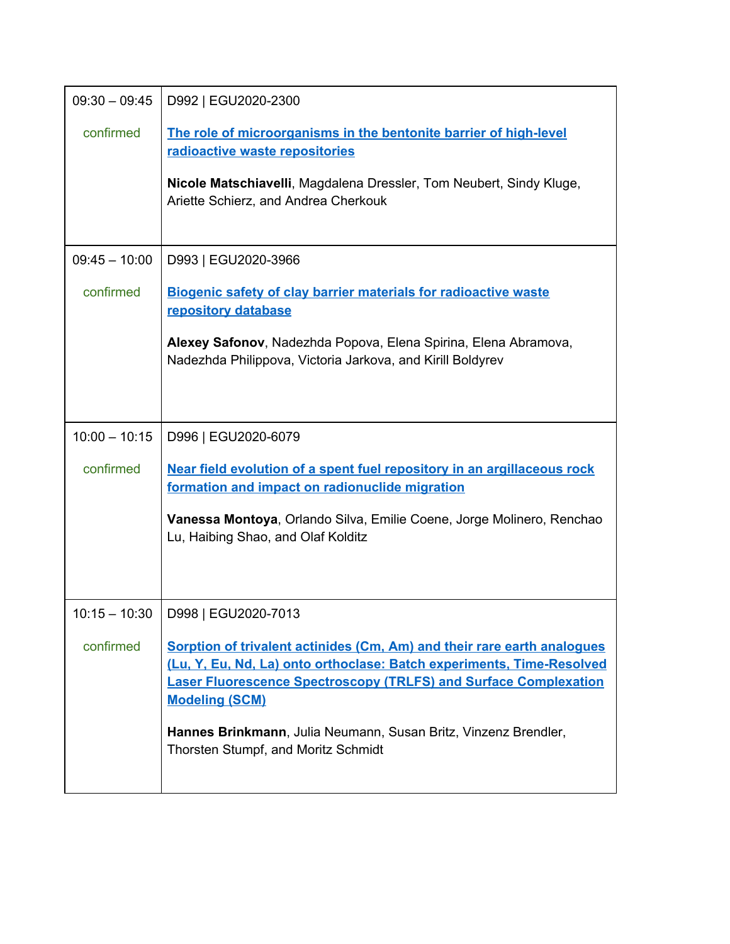| $09:30 - 09:45$ | D992   EGU2020-2300                                                                                                                                                                                                                                  |
|-----------------|------------------------------------------------------------------------------------------------------------------------------------------------------------------------------------------------------------------------------------------------------|
| confirmed       | The role of microorganisms in the bentonite barrier of high-level<br>radioactive waste repositories                                                                                                                                                  |
|                 | Nicole Matschiavelli, Magdalena Dressler, Tom Neubert, Sindy Kluge,<br>Ariette Schierz, and Andrea Cherkouk                                                                                                                                          |
| $09:45 - 10:00$ | D993   EGU2020-3966                                                                                                                                                                                                                                  |
| confirmed       | <b>Biogenic safety of clay barrier materials for radioactive waste</b><br>repository database                                                                                                                                                        |
|                 | Alexey Safonov, Nadezhda Popova, Elena Spirina, Elena Abramova,<br>Nadezhda Philippova, Victoria Jarkova, and Kirill Boldyrev                                                                                                                        |
| $10:00 - 10:15$ | D996   EGU2020-6079                                                                                                                                                                                                                                  |
| confirmed       | Near field evolution of a spent fuel repository in an argillaceous rock<br>formation and impact on radionuclide migration                                                                                                                            |
|                 | Vanessa Montoya, Orlando Silva, Emilie Coene, Jorge Molinero, Renchao<br>Lu, Haibing Shao, and Olaf Kolditz                                                                                                                                          |
| $10:15 - 10:30$ | D998   EGU2020-7013                                                                                                                                                                                                                                  |
| confirmed       | Sorption of trivalent actinides (Cm, Am) and their rare earth analogues<br>(Lu, Y, Eu, Nd, La) onto orthoclase: Batch experiments, Time-Resolved<br><b>Laser Fluorescence Spectroscopy (TRLFS) and Surface Complexation</b><br><b>Modeling (SCM)</b> |
|                 | Hannes Brinkmann, Julia Neumann, Susan Britz, Vinzenz Brendler,<br>Thorsten Stumpf, and Moritz Schmidt                                                                                                                                               |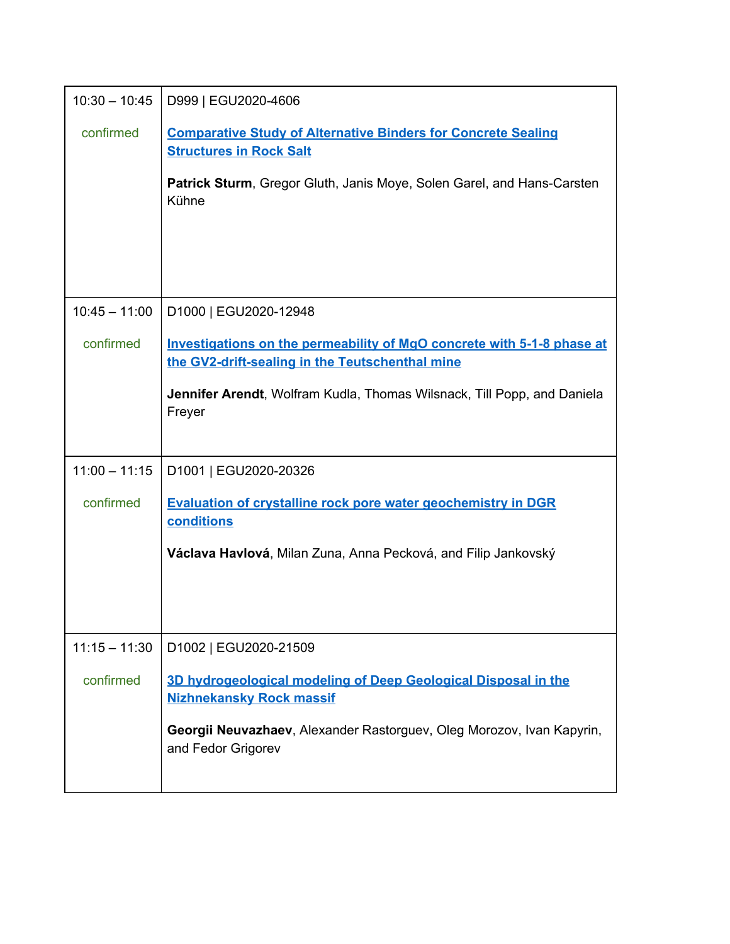| $10:30 - 10:45$ | D999   EGU2020-4606                                                                                                       |  |
|-----------------|---------------------------------------------------------------------------------------------------------------------------|--|
| confirmed       | <b>Comparative Study of Alternative Binders for Concrete Sealing</b><br><b>Structures in Rock Salt</b>                    |  |
|                 | <b>Patrick Sturm, Gregor Gluth, Janis Moye, Solen Garel, and Hans-Carsten</b><br>Kühne                                    |  |
|                 |                                                                                                                           |  |
|                 |                                                                                                                           |  |
| $10:45 - 11:00$ | D1000   EGU2020-12948                                                                                                     |  |
| confirmed       | Investigations on the permeability of MgO concrete with 5-1-8 phase at<br>the GV2-drift-sealing in the Teutschenthal mine |  |
|                 | Jennifer Arendt, Wolfram Kudla, Thomas Wilsnack, Till Popp, and Daniela<br>Freyer                                         |  |
| $11:00 - 11:15$ | D1001   EGU2020-20326                                                                                                     |  |
| confirmed       | <b>Evaluation of crystalline rock pore water geochemistry in DGR</b><br>conditions                                        |  |
|                 | Václava Havlová, Milan Zuna, Anna Pecková, and Filip Jankovský                                                            |  |
|                 |                                                                                                                           |  |
|                 |                                                                                                                           |  |
| $11:15 - 11:30$ | D1002   EGU2020-21509                                                                                                     |  |
| confirmed       | 3D hydrogeological modeling of Deep Geological Disposal in the<br><b>Nizhnekansky Rock massif</b>                         |  |
|                 | Georgii Neuvazhaev, Alexander Rastorguev, Oleg Morozov, Ivan Kapyrin,<br>and Fedor Grigorev                               |  |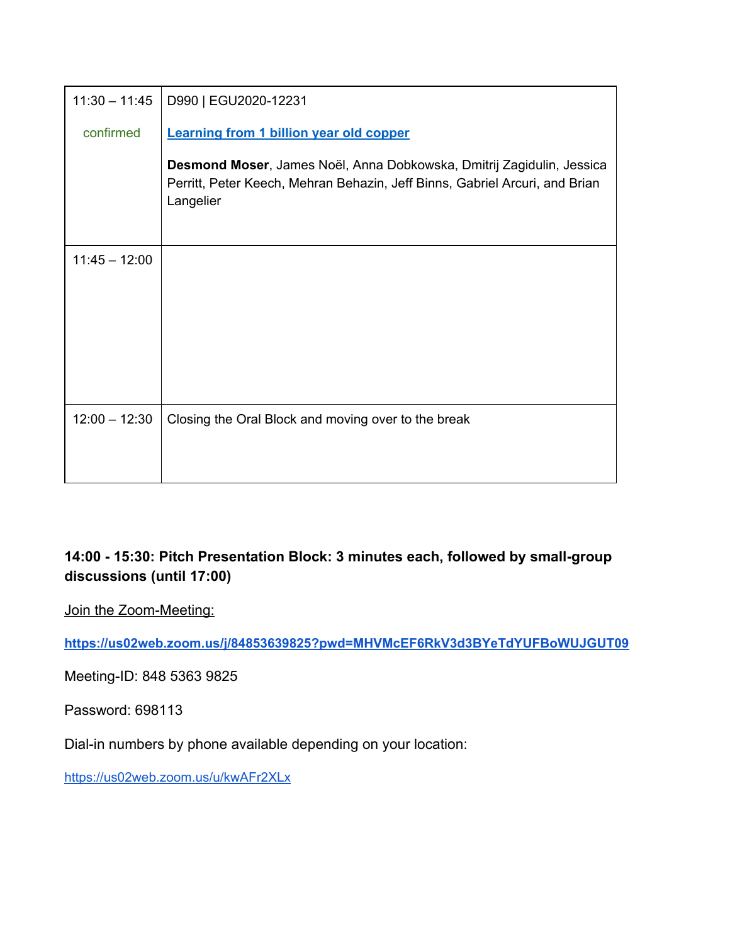| $11:30 - 11:45$ | D990   EGU2020-12231                                                                                                                                              |
|-----------------|-------------------------------------------------------------------------------------------------------------------------------------------------------------------|
| confirmed       | <b>Learning from 1 billion year old copper</b>                                                                                                                    |
|                 | Desmond Moser, James Noël, Anna Dobkowska, Dmitrij Zagidulin, Jessica<br>Perritt, Peter Keech, Mehran Behazin, Jeff Binns, Gabriel Arcuri, and Brian<br>Langelier |
| $11:45 - 12:00$ |                                                                                                                                                                   |
|                 |                                                                                                                                                                   |
|                 |                                                                                                                                                                   |
|                 |                                                                                                                                                                   |
|                 |                                                                                                                                                                   |
| $12:00 - 12:30$ | Closing the Oral Block and moving over to the break                                                                                                               |
|                 |                                                                                                                                                                   |
|                 |                                                                                                                                                                   |

# **14:00 - 15:30: Pitch Presentation Block: 3 minutes each, followed by small-group discussions (until 17:00)**

Join the Zoom-Meeting:

**<https://us02web.zoom.us/j/84853639825?pwd=MHVMcEF6RkV3d3BYeTdYUFBoWUJGUT09>**

Meeting-ID: 848 5363 9825

Password: 698113

Dial-in numbers by phone available depending on your location:

<https://us02web.zoom.us/u/kwAFr2XLx>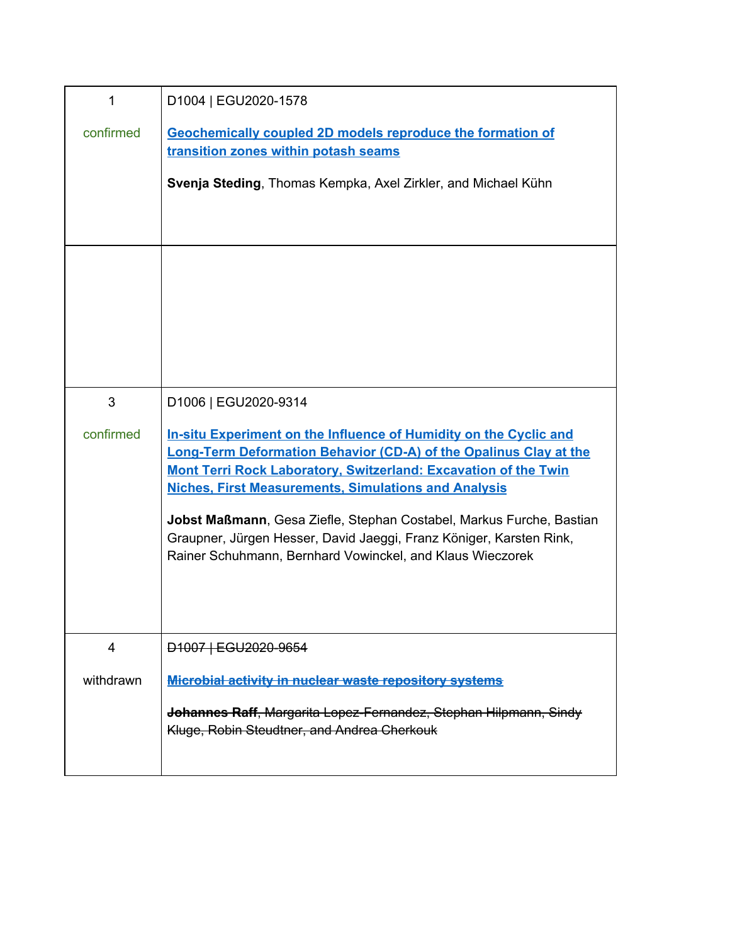| 1         | D1004   EGU2020-1578                                                                                                                                                                                                                                                                                                                                                                                                                                                                        |
|-----------|---------------------------------------------------------------------------------------------------------------------------------------------------------------------------------------------------------------------------------------------------------------------------------------------------------------------------------------------------------------------------------------------------------------------------------------------------------------------------------------------|
| confirmed | Geochemically coupled 2D models reproduce the formation of<br>transition zones within potash seams<br>Svenja Steding, Thomas Kempka, Axel Zirkler, and Michael Kühn                                                                                                                                                                                                                                                                                                                         |
|           |                                                                                                                                                                                                                                                                                                                                                                                                                                                                                             |
| 3         | D1006   EGU2020-9314                                                                                                                                                                                                                                                                                                                                                                                                                                                                        |
| confirmed | In-situ Experiment on the Influence of Humidity on the Cyclic and<br><b>Long-Term Deformation Behavior (CD-A) of the Opalinus Clay at the</b><br>Mont Terri Rock Laboratory, Switzerland: Excavation of the Twin<br><b>Niches, First Measurements, Simulations and Analysis</b><br>Jobst Maßmann, Gesa Ziefle, Stephan Costabel, Markus Furche, Bastian<br>Graupner, Jürgen Hesser, David Jaeggi, Franz Königer, Karsten Rink,<br>Rainer Schuhmann, Bernhard Vowinckel, and Klaus Wieczorek |
| 4         | D1007   EGU2020-9654                                                                                                                                                                                                                                                                                                                                                                                                                                                                        |
| withdrawn | <b>Microbial activity in nuclear waste repository systems</b>                                                                                                                                                                                                                                                                                                                                                                                                                               |
|           | Johannes Raff, Margarita Lopez-Fernandez, Stephan Hilpmann, Sindy<br>Kluge, Robin Steudtner, and Andrea Cherkouk                                                                                                                                                                                                                                                                                                                                                                            |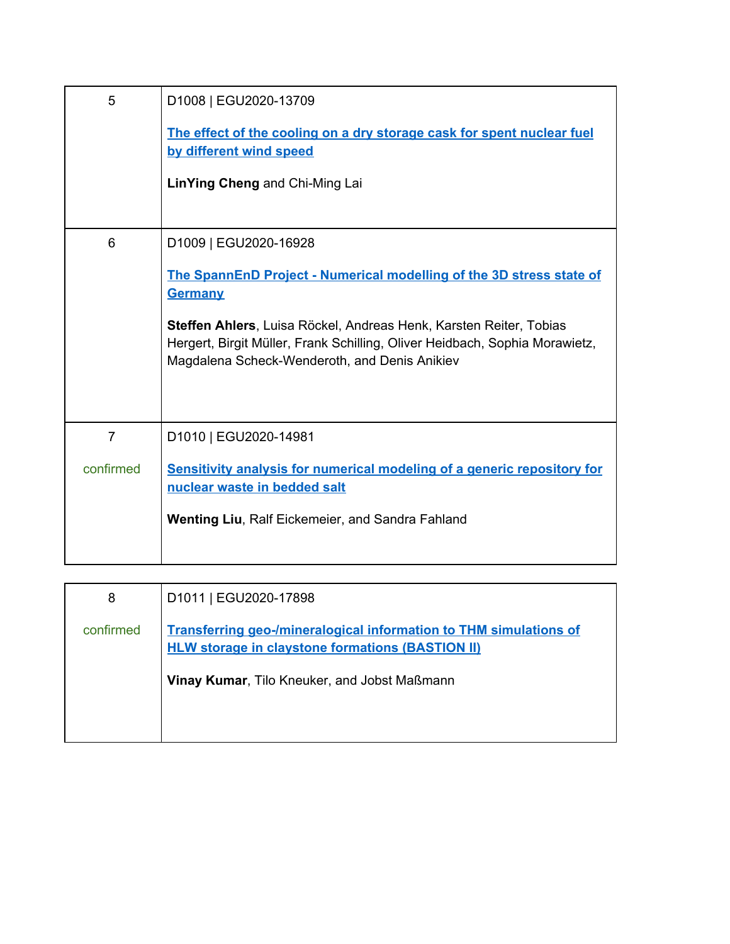| 5                           | D1008   EGU2020-13709<br>The effect of the cooling on a dry storage cask for spent nuclear fuel<br>by different wind speed<br>LinYing Cheng and Chi-Ming Lai                                                                                                                                                          |
|-----------------------------|-----------------------------------------------------------------------------------------------------------------------------------------------------------------------------------------------------------------------------------------------------------------------------------------------------------------------|
| 6                           | D1009   EGU2020-16928<br>The SpannEnD Project - Numerical modelling of the 3D stress state of<br><b>Germany</b><br>Steffen Ahlers, Luisa Röckel, Andreas Henk, Karsten Reiter, Tobias<br>Hergert, Birgit Müller, Frank Schilling, Oliver Heidbach, Sophia Morawietz,<br>Magdalena Scheck-Wenderoth, and Denis Anikiev |
| $\overline{7}$<br>confirmed | D1010   EGU2020-14981<br>Sensitivity analysis for numerical modeling of a generic repository for<br>nuclear waste in bedded salt<br><b>Wenting Liu, Ralf Eickemeier, and Sandra Fahland</b>                                                                                                                           |

| 8         | D1011   EGU2020-17898                                                                                                               |
|-----------|-------------------------------------------------------------------------------------------------------------------------------------|
| confirmed | <b>Transferring geo-/mineralogical information to THM simulations of</b><br><b>HLW storage in claystone formations (BASTION II)</b> |
|           | Vinay Kumar, Tilo Kneuker, and Jobst Maßmann                                                                                        |
|           |                                                                                                                                     |
|           |                                                                                                                                     |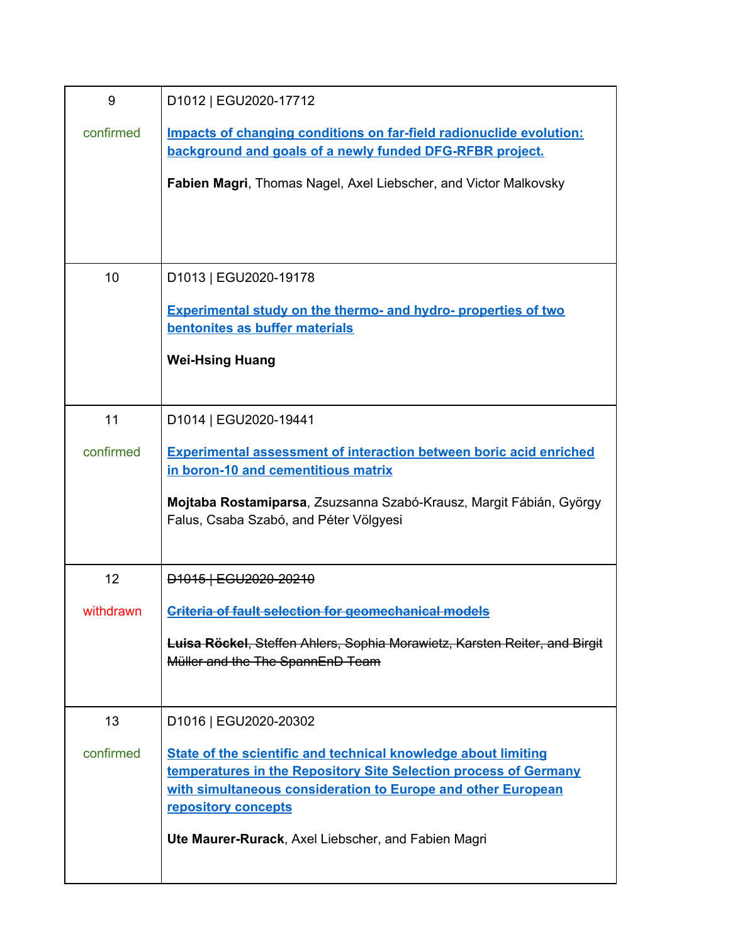| 9         | D1012   EGU2020-17712                                                                                                                                                                                                     |
|-----------|---------------------------------------------------------------------------------------------------------------------------------------------------------------------------------------------------------------------------|
| confirmed | Impacts of changing conditions on far-field radionuclide evolution:<br>background and goals of a newly funded DFG-RFBR project.                                                                                           |
|           | Fabien Magri, Thomas Nagel, Axel Liebscher, and Victor Malkovsky                                                                                                                                                          |
|           |                                                                                                                                                                                                                           |
|           |                                                                                                                                                                                                                           |
| 10        | D1013   EGU2020-19178                                                                                                                                                                                                     |
|           | <b>Experimental study on the thermo- and hydro- properties of two</b><br>bentonites as buffer materials                                                                                                                   |
|           | <b>Wei-Hsing Huang</b>                                                                                                                                                                                                    |
|           |                                                                                                                                                                                                                           |
| 11        | D1014   EGU2020-19441                                                                                                                                                                                                     |
| confirmed | <b>Experimental assessment of interaction between boric acid enriched</b><br>in boron-10 and cementitious matrix                                                                                                          |
|           | Mojtaba Rostamiparsa, Zsuzsanna Szabó-Krausz, Margit Fábián, György<br>Falus, Csaba Szabó, and Péter Völgyesi                                                                                                             |
| 12        | D <sub>1015</sub>   EGU <sub>2020</sub> -20210                                                                                                                                                                            |
| withdrawn | <b>Criteria of fault selection for geomechanical models</b>                                                                                                                                                               |
|           | <b>Luisa Röckel, Steffen Ahlers, Sophia Morawietz, Karsten Reiter, and Birgit</b><br>Müller and the The SpannEnD Team                                                                                                     |
| 13        | D1016   EGU2020-20302                                                                                                                                                                                                     |
| confirmed | State of the scientific and technical knowledge about limiting<br>temperatures in the Repository Site Selection process of Germany<br>with simultaneous consideration to Europe and other European<br>repository concepts |
|           | Ute Maurer-Rurack, Axel Liebscher, and Fabien Magri                                                                                                                                                                       |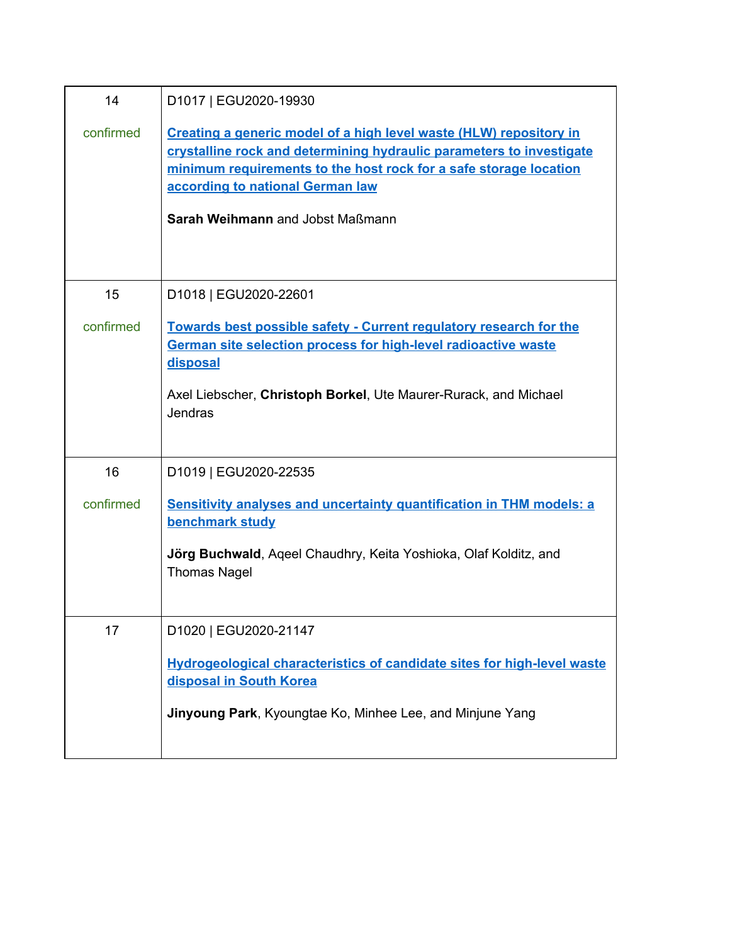| 14        | D1017   EGU2020-19930                                                                                                                                                                                                                                                                   |
|-----------|-----------------------------------------------------------------------------------------------------------------------------------------------------------------------------------------------------------------------------------------------------------------------------------------|
| confirmed | Creating a generic model of a high level waste (HLW) repository in<br>crystalline rock and determining hydraulic parameters to investigate<br>minimum requirements to the host rock for a safe storage location<br>according to national German law<br>Sarah Weihmann and Jobst Maßmann |
| 15        | D1018   EGU2020-22601                                                                                                                                                                                                                                                                   |
| confirmed | Towards best possible safety - Current regulatory research for the<br>German site selection process for high-level radioactive waste<br>disposal<br>Axel Liebscher, Christoph Borkel, Ute Maurer-Rurack, and Michael<br>Jendras                                                         |
|           |                                                                                                                                                                                                                                                                                         |
| 16        | D1019   EGU2020-22535                                                                                                                                                                                                                                                                   |
| confirmed | <b>Sensitivity analyses and uncertainty quantification in THM models: a</b><br>benchmark study                                                                                                                                                                                          |
|           | Jörg Buchwald, Ageel Chaudhry, Keita Yoshioka, Olaf Kolditz, and<br><b>Thomas Nagel</b>                                                                                                                                                                                                 |
| 17        | D1020   EGU2020-21147                                                                                                                                                                                                                                                                   |
|           | Hydrogeological characteristics of candidate sites for high-level waste<br>disposal in South Korea                                                                                                                                                                                      |
|           | Jinyoung Park, Kyoungtae Ko, Minhee Lee, and Minjune Yang                                                                                                                                                                                                                               |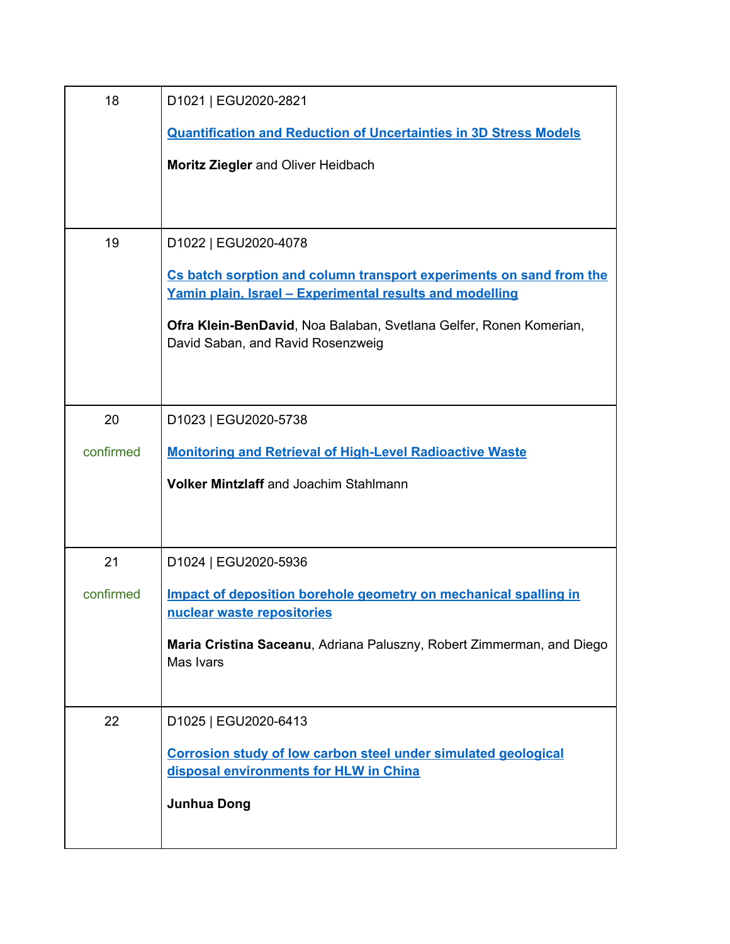| 18        | D1021   EGU2020-2821                                                                                                            |
|-----------|---------------------------------------------------------------------------------------------------------------------------------|
|           | <b>Quantification and Reduction of Uncertainties in 3D Stress Models</b>                                                        |
|           | Moritz Ziegler and Oliver Heidbach                                                                                              |
|           |                                                                                                                                 |
|           |                                                                                                                                 |
| 19        | D1022   EGU2020-4078                                                                                                            |
|           | Cs batch sorption and column transport experiments on sand from the<br>Yamin plain, Israel - Experimental results and modelling |
|           | Ofra Klein-BenDavid, Noa Balaban, Svetlana Gelfer, Ronen Komerian,<br>David Saban, and Ravid Rosenzweig                         |
|           |                                                                                                                                 |
| 20        | D1023   EGU2020-5738                                                                                                            |
| confirmed | <b>Monitoring and Retrieval of High-Level Radioactive Waste</b>                                                                 |
|           | <b>Volker Mintzlaff and Joachim Stahlmann</b>                                                                                   |
|           |                                                                                                                                 |
|           |                                                                                                                                 |
| 21        | D1024   EGU2020-5936                                                                                                            |
| confirmed | Impact of deposition borehole geometry on mechanical spalling in                                                                |
|           | nuclear waste repositories                                                                                                      |
|           | Maria Cristina Saceanu, Adriana Paluszny, Robert Zimmerman, and Diego<br>Mas Ivars                                              |
|           |                                                                                                                                 |
| 22        | D1025   EGU2020-6413                                                                                                            |
|           | Corrosion study of low carbon steel under simulated geological                                                                  |
|           | disposal environments for HLW in China                                                                                          |
|           | <b>Junhua Dong</b>                                                                                                              |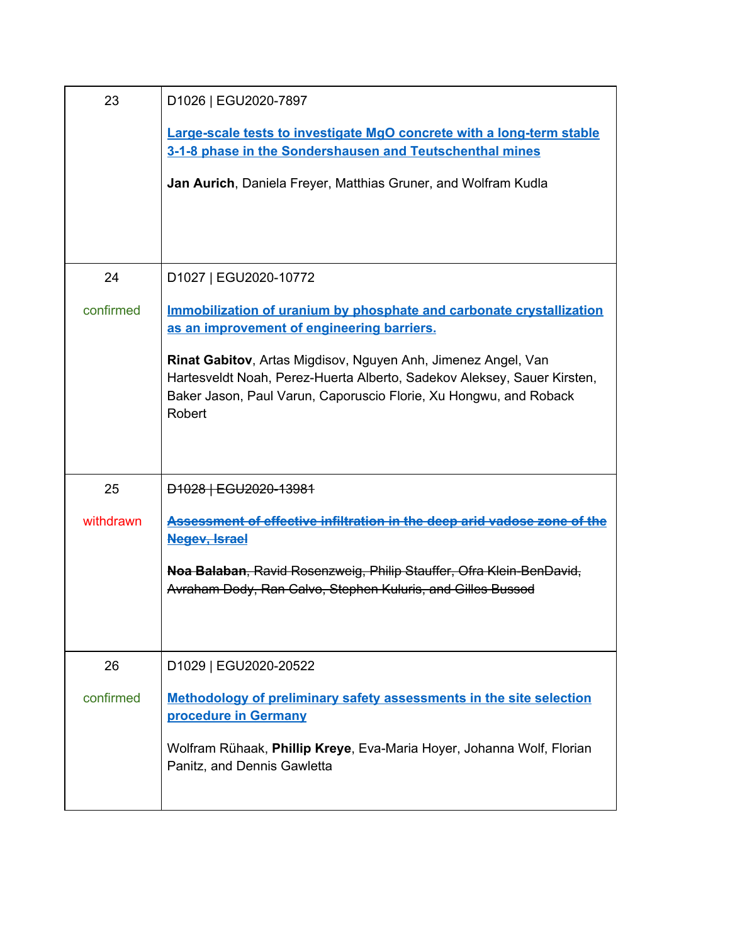| 23        | D1026   EGU2020-7897                                                                                                                                                                                                    |
|-----------|-------------------------------------------------------------------------------------------------------------------------------------------------------------------------------------------------------------------------|
|           | <b>Large-scale tests to investigate MgO concrete with a long-term stable</b><br>3-1-8 phase in the Sondershausen and Teutschenthal mines                                                                                |
|           | Jan Aurich, Daniela Freyer, Matthias Gruner, and Wolfram Kudla                                                                                                                                                          |
|           |                                                                                                                                                                                                                         |
| 24        | D1027   EGU2020-10772                                                                                                                                                                                                   |
| confirmed | Immobilization of uranium by phosphate and carbonate crystallization<br>as an improvement of engineering barriers.                                                                                                      |
|           | Rinat Gabitov, Artas Migdisov, Nguyen Anh, Jimenez Angel, Van<br>Hartesveldt Noah, Perez-Huerta Alberto, Sadekov Aleksey, Sauer Kirsten,<br>Baker Jason, Paul Varun, Caporuscio Florie, Xu Hongwu, and Roback<br>Robert |
| 25        | D <sub>1028</sub>   EGU <sub>2020-13981</sub>                                                                                                                                                                           |
| withdrawn | Assessment of effective infiltration in the deep arid vadose zone of the<br><b>Negev, Israel</b>                                                                                                                        |
|           | Noa Balaban, Ravid Rosenzweig, Philip Stauffer, Ofra Klein-BenDavid,<br>Avraham Dody, Ran Calvo, Stephen Kuluris, and Gilles Bussod                                                                                     |
| 26        | D1029   EGU2020-20522                                                                                                                                                                                                   |
| confirmed | Methodology of preliminary safety assessments in the site selection<br>procedure in Germany                                                                                                                             |
|           | Wolfram Rühaak, Phillip Kreye, Eva-Maria Hoyer, Johanna Wolf, Florian<br>Panitz, and Dennis Gawletta                                                                                                                    |